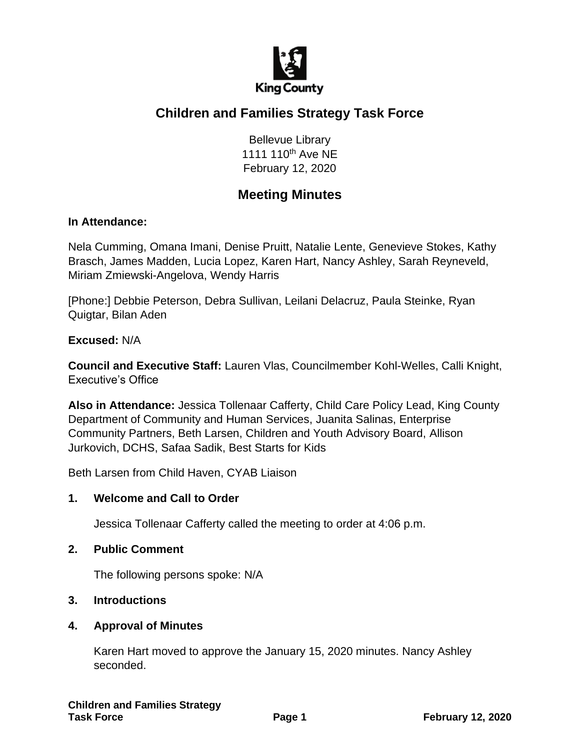

# **Children and Families Strategy Task Force**

Bellevue Library 1111 110<sup>th</sup> Ave NE February 12, 2020

# **Meeting Minutes**

### **In Attendance:**

Nela Cumming, Omana Imani, Denise Pruitt, Natalie Lente, Genevieve Stokes, Kathy Brasch, James Madden, Lucia Lopez, Karen Hart, Nancy Ashley, Sarah Reyneveld, Miriam Zmiewski-Angelova, Wendy Harris

[Phone:] Debbie Peterson, Debra Sullivan, Leilani Delacruz, Paula Steinke, Ryan Quigtar, Bilan Aden

#### **Excused:** N/A

**Council and Executive Staff:** Lauren Vlas, Councilmember Kohl-Welles, Calli Knight, Executive's Office

**Also in Attendance:** Jessica Tollenaar Cafferty, Child Care Policy Lead, King County Department of Community and Human Services, Juanita Salinas, Enterprise Community Partners, Beth Larsen, Children and Youth Advisory Board, Allison Jurkovich, DCHS, Safaa Sadik, Best Starts for Kids

Beth Larsen from Child Haven, CYAB Liaison

### **1. Welcome and Call to Order**

Jessica Tollenaar Cafferty called the meeting to order at 4:06 p.m.

#### **2. Public Comment**

The following persons spoke: N/A

### **3. Introductions**

#### **4. Approval of Minutes**

Karen Hart moved to approve the January 15, 2020 minutes. Nancy Ashley seconded.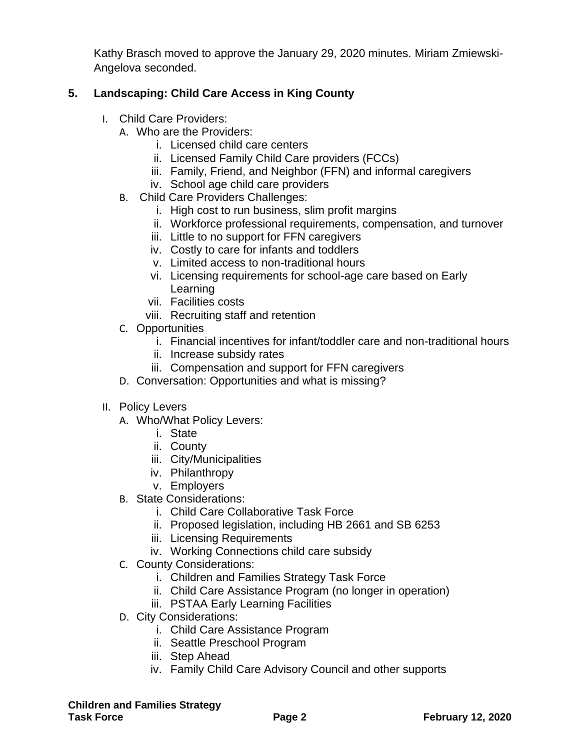Kathy Brasch moved to approve the January 29, 2020 minutes. Miriam Zmiewski-Angelova seconded.

## **5. Landscaping: Child Care Access in King County**

- I. Child Care Providers:
	- A. Who are the Providers:
		- i. Licensed child care centers
		- ii. Licensed Family Child Care providers (FCCs)
		- iii. Family, Friend, and Neighbor (FFN) and informal caregivers
		- iv. School age child care providers
	- B. Child Care Providers Challenges:
		- i. High cost to run business, slim profit margins
		- ii. Workforce professional requirements, compensation, and turnover
		- iii. Little to no support for FFN caregivers
		- iv. Costly to care for infants and toddlers
		- v. Limited access to non-traditional hours
		- vi. Licensing requirements for school-age care based on Early Learning
		- vii. Facilities costs
		- viii. Recruiting staff and retention
	- C. Opportunities
		- i. Financial incentives for infant/toddler care and non-traditional hours
		- ii. Increase subsidy rates
		- iii. Compensation and support for FFN caregivers
	- D. Conversation: Opportunities and what is missing?
- II. Policy Levers
	- A. Who/What Policy Levers:
		- i. State
		- ii. County
		- iii. City/Municipalities
		- iv. Philanthropy
		- v. Employers
	- B. State Considerations:
		- i. Child Care Collaborative Task Force
		- ii. Proposed legislation, including HB 2661 and SB 6253
		- iii. Licensing Requirements
		- iv. Working Connections child care subsidy
	- C. County Considerations:
		- i. Children and Families Strategy Task Force
		- ii. Child Care Assistance Program (no longer in operation)
		- iii. PSTAA Early Learning Facilities
	- D. City Considerations:
		- i. Child Care Assistance Program
		- ii. Seattle Preschool Program
		- iii. Step Ahead
		- iv. Family Child Care Advisory Council and other supports